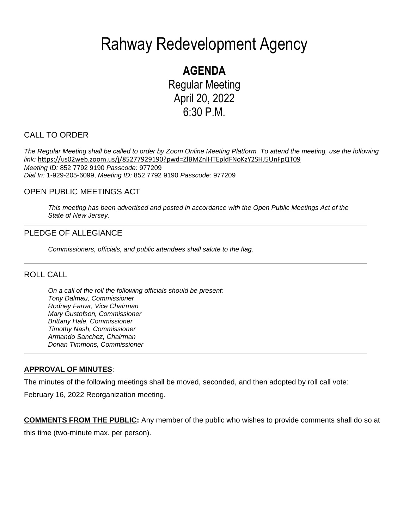# Rahway Redevelopment Agency

**AGENDA** Regular Meeting April 20, 2022 6:30 P.M.

## CALL TO ORDER

*The Regular Meeting shall be called to order by Zoom Online Meeting Platform. To attend the meeting, use the following link:* <https://us02web.zoom.us/j/85277929190?pwd=ZlBMZnlHTEpldFNoKzY2SHJ5UnFpQT09> *Meeting ID:* 852 7792 9190 *Passcode:* 977209 *Dial In:* 1-929-205-6099, *Meeting ID:* 852 7792 9190 *Passcode:* 977209

## OPEN PUBLIC MEETINGS ACT

*This meeting has been advertised and posted in accordance with the Open Public Meetings Act of the State of New Jersey.*

## PLEDGE OF ALLEGIANCE

*Commissioners, officials, and public attendees shall salute to the flag.*

## ROLL CALL

*On a call of the roll the following officials should be present: Tony Dalmau, Commissioner Rodney Farrar, Vice Chairman Mary Gustofson, Commissioner Brittany Hale, Commissioner Timothy Nash, Commissioner Armando Sanchez, Chairman Dorian Timmons, Commissioner*

#### **APPROVAL OF MINUTES**:

The minutes of the following meetings shall be moved, seconded, and then adopted by roll call vote:

February 16, 2022 Reorganization meeting.

**COMMENTS FROM THE PUBLIC:** Any member of the public who wishes to provide comments shall do so at this time (two-minute max. per person).